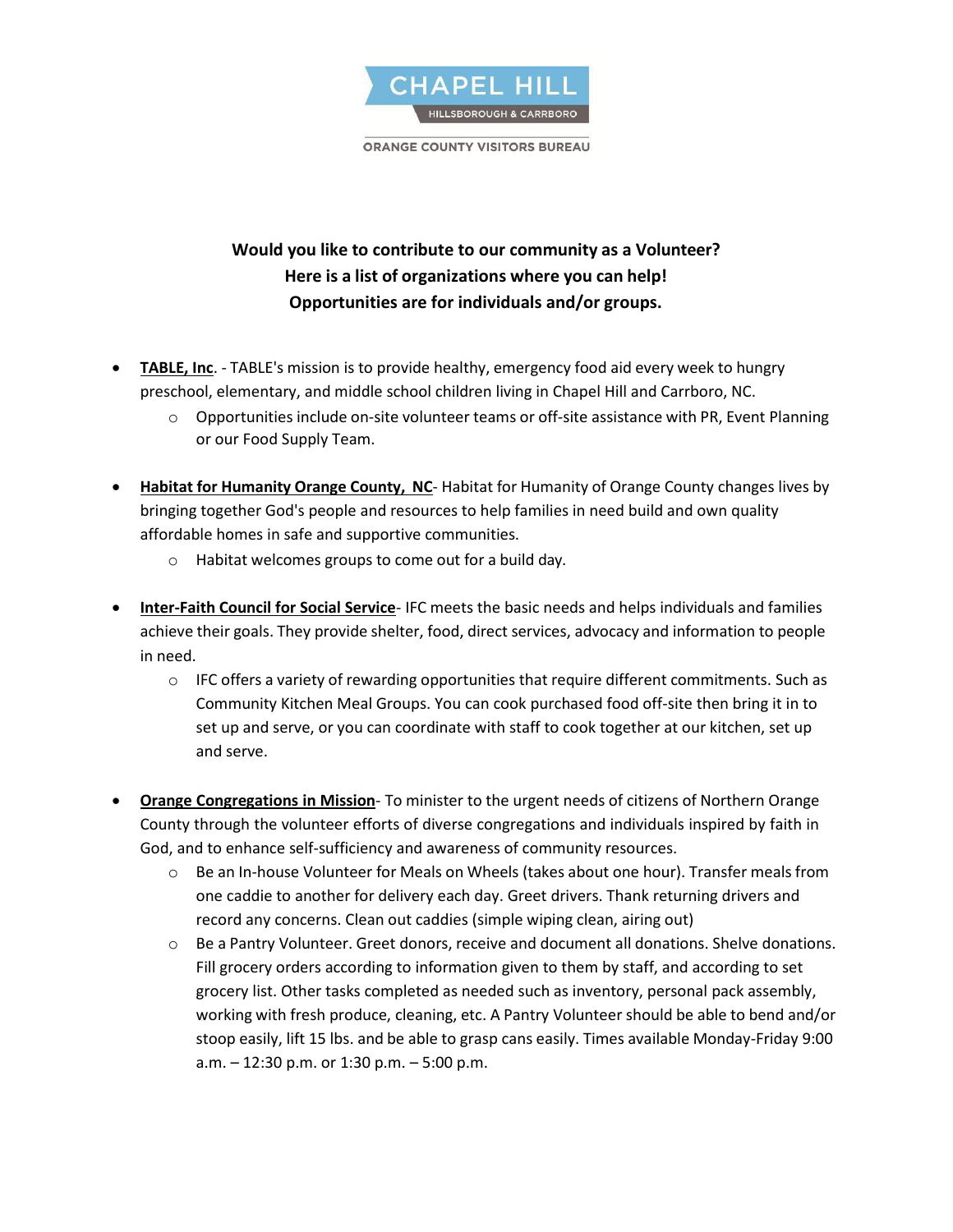

**ORANGE COUNTY VISITORS BUREAU** 

## **Would you like to contribute to our community as a Volunteer? Here is a list of organizations where you can help! Opportunities are for individuals and/or groups.**

- **TABLE, Inc**. TABLE's mission is to provide healthy, emergency food aid every week to hungry preschool, elementary, and middle school children living in Chapel Hill and Carrboro, NC.
	- $\circ$  Opportunities include on-site volunteer teams or off-site assistance with PR, Event Planning or our Food Supply Team.
- **Habitat for Humanity Orange County, NC** Habitat for Humanity of Orange County changes lives by bringing together God's people and resources to help families in need build and own quality affordable homes in safe and supportive communities.
	- o Habitat welcomes groups to come out for a build day.
- **Inter-Faith Council for Social Service** IFC meets the basic needs and helps individuals and families achieve their goals. They provide shelter, food, direct services, advocacy and information to people in need.
	- $\circ$  IFC offers a variety of rewarding opportunities that require different commitments. Such as Community Kitchen Meal Groups. You can cook purchased food off-site then bring it in to set up and serve, or you can coordinate with staff to cook together at our kitchen, set up and serve.
- **Orange Congregations in Mission** To minister to the urgent needs of citizens of Northern Orange County through the volunteer efforts of diverse congregations and individuals inspired by faith in God, and to enhance self-sufficiency and awareness of community resources.
	- o Be an In-house Volunteer for Meals on Wheels (takes about one hour). Transfer meals from one caddie to another for delivery each day. Greet drivers. Thank returning drivers and record any concerns. Clean out caddies (simple wiping clean, airing out)
	- o Be a Pantry Volunteer. Greet donors, receive and document all donations. Shelve donations. Fill grocery orders according to information given to them by staff, and according to set grocery list. Other tasks completed as needed such as inventory, personal pack assembly, working with fresh produce, cleaning, etc. A Pantry Volunteer should be able to bend and/or stoop easily, lift 15 lbs. and be able to grasp cans easily. Times available Monday-Friday 9:00 a.m. – 12:30 p.m. or 1:30 p.m. – 5:00 p.m.